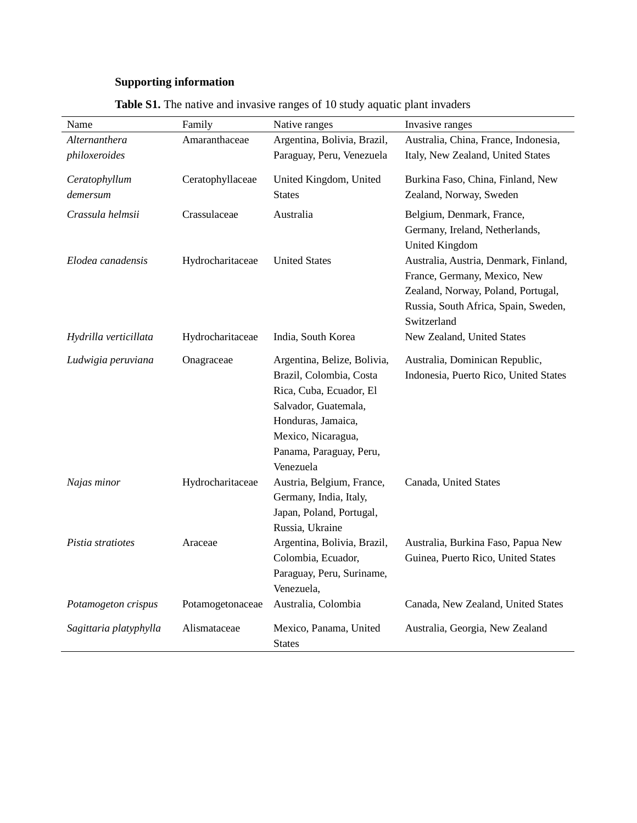## **Supporting information**

| Name                   | Family           | Native ranges                                                                                                                                                                                 | Invasive ranges                                                                                                                                                    |
|------------------------|------------------|-----------------------------------------------------------------------------------------------------------------------------------------------------------------------------------------------|--------------------------------------------------------------------------------------------------------------------------------------------------------------------|
| Alternanthera          | Amaranthaceae    | Argentina, Bolivia, Brazil,                                                                                                                                                                   | Australia, China, France, Indonesia,                                                                                                                               |
| philoxeroides          |                  | Paraguay, Peru, Venezuela                                                                                                                                                                     | Italy, New Zealand, United States                                                                                                                                  |
| Ceratophyllum          | Ceratophyllaceae | United Kingdom, United                                                                                                                                                                        | Burkina Faso, China, Finland, New                                                                                                                                  |
| demersum               |                  | <b>States</b>                                                                                                                                                                                 | Zealand, Norway, Sweden                                                                                                                                            |
| Crassula helmsii       | Crassulaceae     | Australia                                                                                                                                                                                     | Belgium, Denmark, France,<br>Germany, Ireland, Netherlands,<br><b>United Kingdom</b>                                                                               |
| Elodea canadensis      | Hydrocharitaceae | <b>United States</b>                                                                                                                                                                          | Australia, Austria, Denmark, Finland,<br>France, Germany, Mexico, New<br>Zealand, Norway, Poland, Portugal,<br>Russia, South Africa, Spain, Sweden,<br>Switzerland |
| Hydrilla verticillata  | Hydrocharitaceae | India, South Korea                                                                                                                                                                            | New Zealand, United States                                                                                                                                         |
| Ludwigia peruviana     | Onagraceae       | Argentina, Belize, Bolivia,<br>Brazil, Colombia, Costa<br>Rica, Cuba, Ecuador, El<br>Salvador, Guatemala,<br>Honduras, Jamaica,<br>Mexico, Nicaragua,<br>Panama, Paraguay, Peru,<br>Venezuela | Australia, Dominican Republic,<br>Indonesia, Puerto Rico, United States                                                                                            |
| Najas minor            | Hydrocharitaceae | Austria, Belgium, France,<br>Germany, India, Italy,<br>Japan, Poland, Portugal,<br>Russia, Ukraine                                                                                            | Canada, United States                                                                                                                                              |
| Pistia stratiotes      | Araceae          | Argentina, Bolivia, Brazil,<br>Colombia, Ecuador,<br>Paraguay, Peru, Suriname,<br>Venezuela,                                                                                                  | Australia, Burkina Faso, Papua New<br>Guinea, Puerto Rico, United States                                                                                           |
| Potamogeton crispus    | Potamogetonaceae | Australia, Colombia                                                                                                                                                                           | Canada, New Zealand, United States                                                                                                                                 |
| Sagittaria platyphylla | Alismataceae     | Mexico, Panama, United<br><b>States</b>                                                                                                                                                       | Australia, Georgia, New Zealand                                                                                                                                    |

Table S1. The native and invasive ranges of 10 study aquatic plant invaders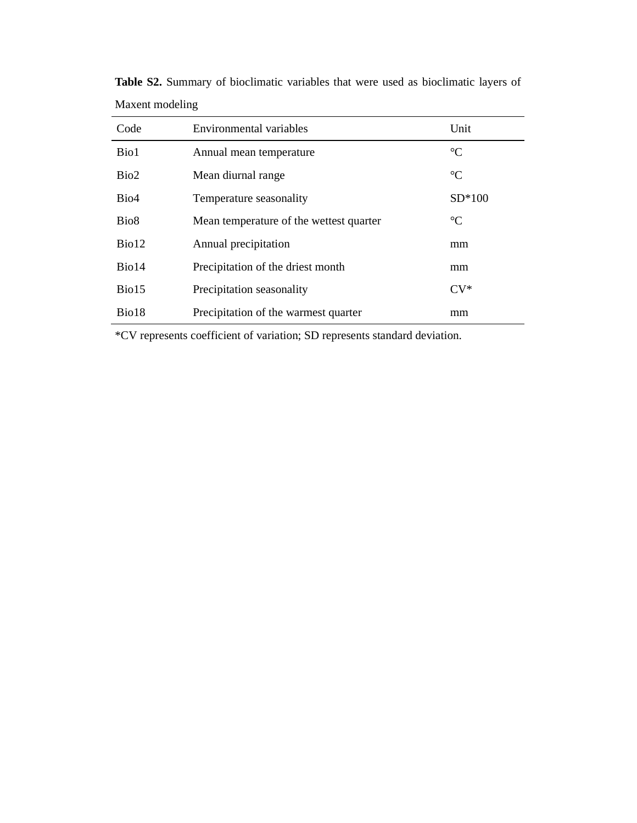| Code              | Environmental variables                 | Unit            |
|-------------------|-----------------------------------------|-----------------|
| Bio1              | Annual mean temperature                 | $\rm ^{\circ}C$ |
| Bio2              | Mean diurnal range                      | $\rm ^{\circ}C$ |
| Bio <sub>4</sub>  | Temperature seasonality                 | $SD*100$        |
| Bio <sub>8</sub>  | Mean temperature of the wettest quarter | $\rm ^{\circ}C$ |
| Bio <sub>12</sub> | Annual precipitation                    | mm              |
| Bio14             | Precipitation of the driest month       | mm              |
| Bio15             | Precipitation seasonality               | $CV^*$          |
| Bio18             | Precipitation of the warmest quarter    | mm              |

**Table S2.** Summary of bioclimatic variables that were used as bioclimatic layers of Maxent modeling

\*CV represents coefficient of variation; SD represents standard deviation.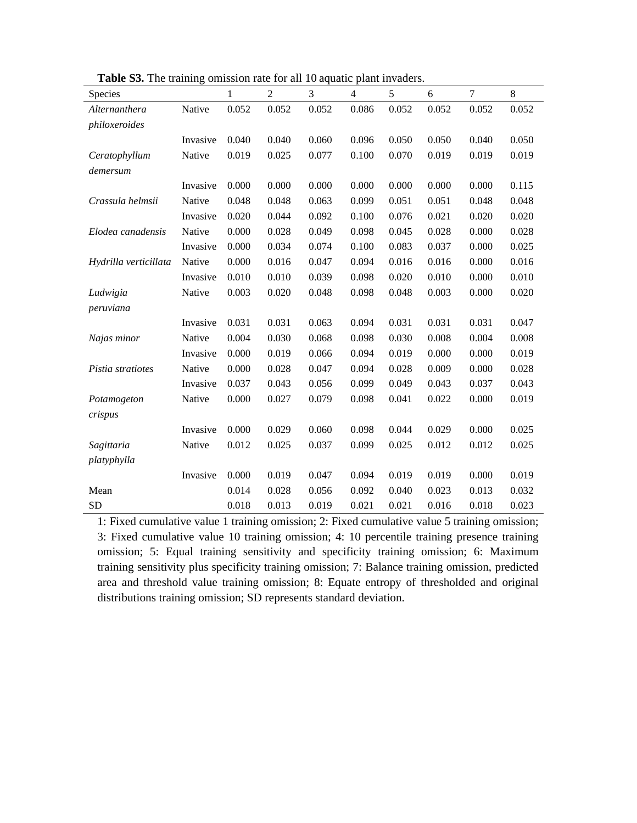| Species               |          | 1     | $\overline{2}$ | 3     | $\overline{4}$ | 5     | 6     | $\overline{7}$ | 8     |
|-----------------------|----------|-------|----------------|-------|----------------|-------|-------|----------------|-------|
| Alternanthera         | Native   | 0.052 | 0.052          | 0.052 | 0.086          | 0.052 | 0.052 | 0.052          | 0.052 |
| philoxeroides         |          |       |                |       |                |       |       |                |       |
|                       | Invasive | 0.040 | 0.040          | 0.060 | 0.096          | 0.050 | 0.050 | 0.040          | 0.050 |
| Ceratophyllum         | Native   | 0.019 | 0.025          | 0.077 | 0.100          | 0.070 | 0.019 | 0.019          | 0.019 |
| demersum              |          |       |                |       |                |       |       |                |       |
|                       | Invasive | 0.000 | 0.000          | 0.000 | 0.000          | 0.000 | 0.000 | 0.000          | 0.115 |
| Crassula helmsii      | Native   | 0.048 | 0.048          | 0.063 | 0.099          | 0.051 | 0.051 | 0.048          | 0.048 |
|                       | Invasive | 0.020 | 0.044          | 0.092 | 0.100          | 0.076 | 0.021 | 0.020          | 0.020 |
| Elodea canadensis     | Native   | 0.000 | 0.028          | 0.049 | 0.098          | 0.045 | 0.028 | 0.000          | 0.028 |
|                       | Invasive | 0.000 | 0.034          | 0.074 | 0.100          | 0.083 | 0.037 | 0.000          | 0.025 |
| Hydrilla verticillata | Native   | 0.000 | 0.016          | 0.047 | 0.094          | 0.016 | 0.016 | 0.000          | 0.016 |
|                       | Invasive | 0.010 | 0.010          | 0.039 | 0.098          | 0.020 | 0.010 | 0.000          | 0.010 |
| Ludwigia              | Native   | 0.003 | 0.020          | 0.048 | 0.098          | 0.048 | 0.003 | 0.000          | 0.020 |
| peruviana             |          |       |                |       |                |       |       |                |       |
|                       | Invasive | 0.031 | 0.031          | 0.063 | 0.094          | 0.031 | 0.031 | 0.031          | 0.047 |
| Najas minor           | Native   | 0.004 | 0.030          | 0.068 | 0.098          | 0.030 | 0.008 | 0.004          | 0.008 |
|                       | Invasive | 0.000 | 0.019          | 0.066 | 0.094          | 0.019 | 0.000 | 0.000          | 0.019 |
| Pistia stratiotes     | Native   | 0.000 | 0.028          | 0.047 | 0.094          | 0.028 | 0.009 | 0.000          | 0.028 |
|                       | Invasive | 0.037 | 0.043          | 0.056 | 0.099          | 0.049 | 0.043 | 0.037          | 0.043 |
| Potamogeton           | Native   | 0.000 | 0.027          | 0.079 | 0.098          | 0.041 | 0.022 | 0.000          | 0.019 |
| crispus               |          |       |                |       |                |       |       |                |       |
|                       | Invasive | 0.000 | 0.029          | 0.060 | 0.098          | 0.044 | 0.029 | 0.000          | 0.025 |
| Sagittaria            | Native   | 0.012 | 0.025          | 0.037 | 0.099          | 0.025 | 0.012 | 0.012          | 0.025 |
| platyphylla           |          |       |                |       |                |       |       |                |       |
|                       | Invasive | 0.000 | 0.019          | 0.047 | 0.094          | 0.019 | 0.019 | 0.000          | 0.019 |
| Mean                  |          | 0.014 | 0.028          | 0.056 | 0.092          | 0.040 | 0.023 | 0.013          | 0.032 |
| <b>SD</b>             |          | 0.018 | 0.013          | 0.019 | 0.021          | 0.021 | 0.016 | 0.018          | 0.023 |

**Table S3.** The training omission rate for all 10 aquatic plant invaders.

1: Fixed cumulative value 1 training omission; 2: Fixed cumulative value 5 training omission; 3: Fixed cumulative value 10 training omission; 4: 10 percentile training presence training omission; 5: Equal training sensitivity and specificity training omission; 6: Maximum training sensitivity plus specificity training omission; 7: Balance training omission, predicted area and threshold value training omission; 8: Equate entropy of thresholded and original distributions training omission; SD represents standard deviation.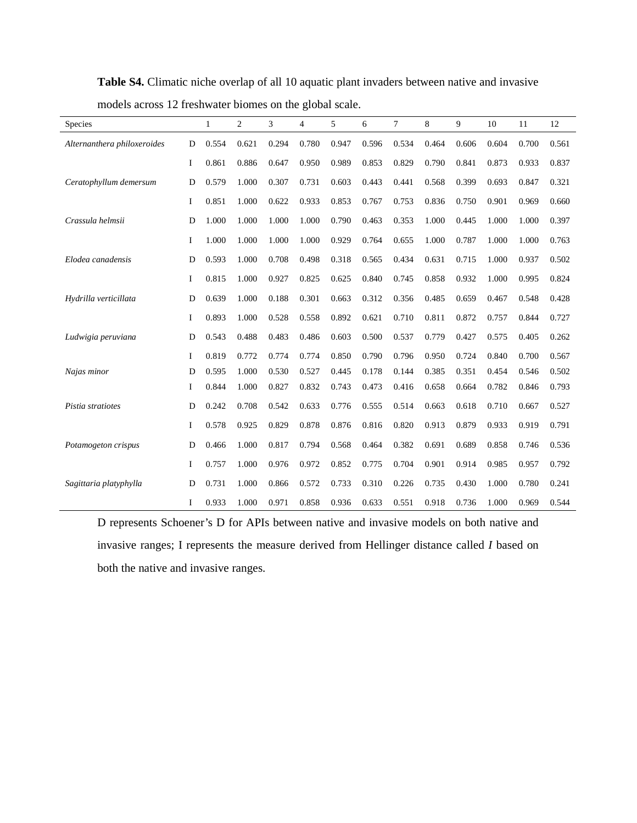| Species                     |   | 1     | $\overline{2}$ | 3     | $\overline{4}$ | 5     | 6     | 7     | 8     | 9     | 10    | 11    | 12    |
|-----------------------------|---|-------|----------------|-------|----------------|-------|-------|-------|-------|-------|-------|-------|-------|
| Alternanthera philoxeroides | D | 0.554 | 0.621          | 0.294 | 0.780          | 0.947 | 0.596 | 0.534 | 0.464 | 0.606 | 0.604 | 0.700 | 0.561 |
|                             | I | 0.861 | 0.886          | 0.647 | 0.950          | 0.989 | 0.853 | 0.829 | 0.790 | 0.841 | 0.873 | 0.933 | 0.837 |
| Ceratophyllum demersum      | D | 0.579 | 1.000          | 0.307 | 0.731          | 0.603 | 0.443 | 0.441 | 0.568 | 0.399 | 0.693 | 0.847 | 0.321 |
|                             | I | 0.851 | 1.000          | 0.622 | 0.933          | 0.853 | 0.767 | 0.753 | 0.836 | 0.750 | 0.901 | 0.969 | 0.660 |
| Crassula helmsii            | D | 1.000 | 1.000          | 1.000 | 1.000          | 0.790 | 0.463 | 0.353 | 1.000 | 0.445 | 1.000 | 1.000 | 0.397 |
|                             | I | 1.000 | 1.000          | 1.000 | 1.000          | 0.929 | 0.764 | 0.655 | 1.000 | 0.787 | 1.000 | 1.000 | 0.763 |
| Elodea canadensis           | D | 0.593 | 1.000          | 0.708 | 0.498          | 0.318 | 0.565 | 0.434 | 0.631 | 0.715 | 1.000 | 0.937 | 0.502 |
|                             | I | 0.815 | 1.000          | 0.927 | 0.825          | 0.625 | 0.840 | 0.745 | 0.858 | 0.932 | 1.000 | 0.995 | 0.824 |
| Hydrilla verticillata       | D | 0.639 | 1.000          | 0.188 | 0.301          | 0.663 | 0.312 | 0.356 | 0.485 | 0.659 | 0.467 | 0.548 | 0.428 |
|                             | I | 0.893 | 1.000          | 0.528 | 0.558          | 0.892 | 0.621 | 0.710 | 0.811 | 0.872 | 0.757 | 0.844 | 0.727 |
| Ludwigia peruviana          | D | 0.543 | 0.488          | 0.483 | 0.486          | 0.603 | 0.500 | 0.537 | 0.779 | 0.427 | 0.575 | 0.405 | 0.262 |
|                             | I | 0.819 | 0.772          | 0.774 | 0.774          | 0.850 | 0.790 | 0.796 | 0.950 | 0.724 | 0.840 | 0.700 | 0.567 |
| Najas minor                 | D | 0.595 | 1.000          | 0.530 | 0.527          | 0.445 | 0.178 | 0.144 | 0.385 | 0.351 | 0.454 | 0.546 | 0.502 |
|                             | I | 0.844 | 1.000          | 0.827 | 0.832          | 0.743 | 0.473 | 0.416 | 0.658 | 0.664 | 0.782 | 0.846 | 0.793 |
| Pistia stratiotes           | D | 0.242 | 0.708          | 0.542 | 0.633          | 0.776 | 0.555 | 0.514 | 0.663 | 0.618 | 0.710 | 0.667 | 0.527 |
|                             | I | 0.578 | 0.925          | 0.829 | 0.878          | 0.876 | 0.816 | 0.820 | 0.913 | 0.879 | 0.933 | 0.919 | 0.791 |
| Potamogeton crispus         | D | 0.466 | 1.000          | 0.817 | 0.794          | 0.568 | 0.464 | 0.382 | 0.691 | 0.689 | 0.858 | 0.746 | 0.536 |
|                             | I | 0.757 | 1.000          | 0.976 | 0.972          | 0.852 | 0.775 | 0.704 | 0.901 | 0.914 | 0.985 | 0.957 | 0.792 |
| Sagittaria platyphylla      | D | 0.731 | 1.000          | 0.866 | 0.572          | 0.733 | 0.310 | 0.226 | 0.735 | 0.430 | 1.000 | 0.780 | 0.241 |
|                             | I | 0.933 | 1.000          | 0.971 | 0.858          | 0.936 | 0.633 | 0.551 | 0.918 | 0.736 | 1.000 | 0.969 | 0.544 |

**Table S4.** Climatic niche overlap of all 10 aquatic plant invaders between native and invasive models across 12 freshwater biomes on the global scale.

D represents Schoener's D for APIs between native and invasive models on both native and invasive ranges; I represents the measure derived from Hellinger distance called *I* based on both the native and invasive ranges.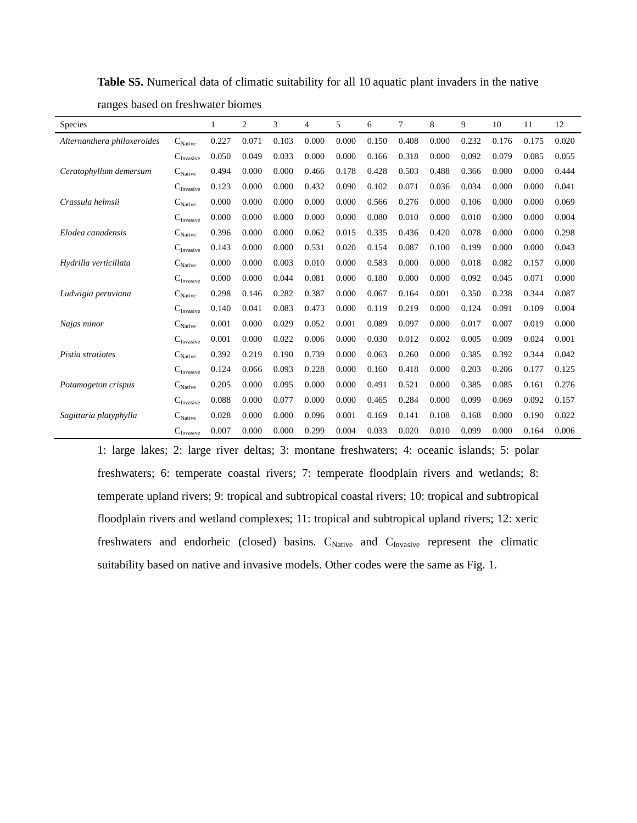| <b>Species</b>              |                                | 1     | $\overline{c}$ | 3     | 4     | 5     | 6     | 7     | 8     | 9     | 10    | 11    | 12    |
|-----------------------------|--------------------------------|-------|----------------|-------|-------|-------|-------|-------|-------|-------|-------|-------|-------|
| Alternanthera philoxeroides | $C_{\text{Native}}$            | 0.227 | 0.071          | 0.103 | 0.000 | 0.000 | 0.150 | 0.408 | 0.000 | 0.232 | 0.176 | 0.175 | 0.020 |
|                             | $C_{\text{Invasive}}$          | 0.050 | 0.049          | 0.033 | 0.000 | 0.000 | 0.166 | 0.318 | 0.000 | 0.092 | 0.079 | 0.085 | 0.055 |
| Ceratophyllum demersum      | $\mathbf{C}_{\text{Native}}$   | 0.494 | 0.000          | 0.000 | 0.466 | 0.178 | 0.428 | 0.503 | 0.488 | 0.366 | 0.000 | 0.000 | 0.444 |
|                             | $C_{\rm Invasive}$             | 0.123 | 0.000          | 0.000 | 0.432 | 0.090 | 0.102 | 0.071 | 0.036 | 0.034 | 0.000 | 0.000 | 0.041 |
| Crassula helmsii            | $C_{\text{Native}}$            | 0.000 | 0.000          | 0.000 | 0.000 | 0.000 | 0.566 | 0.276 | 0.000 | 0.106 | 0.000 | 0.000 | 0.069 |
|                             | $C_{\text{Invasive}}$          | 0.000 | 0.000          | 0.000 | 0.000 | 0.000 | 0.080 | 0.010 | 0.000 | 0.010 | 0.000 | 0.000 | 0.004 |
| Elodea canadensis           | $C_{\text{Native}}$            | 0.396 | 0.000          | 0.000 | 0.062 | 0.015 | 0.335 | 0.436 | 0.420 | 0.078 | 0.000 | 0.000 | 0.298 |
|                             | $C_{\rm Invasive}$             | 0.143 | 0.000          | 0.000 | 0.531 | 0.020 | 0.154 | 0.087 | 0.100 | 0.199 | 0.000 | 0.000 | 0.043 |
| Hydrilla verticillata       | $C_{\text{Native}}$            | 0.000 | 0.000          | 0.003 | 0.010 | 0.000 | 0.583 | 0.000 | 0.000 | 0.018 | 0.082 | 0.157 | 0.000 |
|                             | $C_{\text{Invasive}}$          | 0.000 | 0.000          | 0.044 | 0.081 | 0.000 | 0.180 | 0.000 | 0.000 | 0.092 | 0.045 | 0.071 | 0.000 |
| Ludwigia peruviana          | $C_{\text{Native}}$            | 0.298 | 0.146          | 0.282 | 0.387 | 0.000 | 0.067 | 0.164 | 0.001 | 0.350 | 0.238 | 0.344 | 0.087 |
|                             | $\mathbf{C}_{\text{Invasive}}$ | 0.140 | 0.041          | 0.083 | 0.473 | 0.000 | 0.119 | 0.219 | 0.000 | 0.124 | 0.091 | 0.109 | 0.004 |
| Najas minor                 | $\mathbf{C}_{\text{Native}}$   | 0.001 | 0.000          | 0.029 | 0.052 | 0.001 | 0.089 | 0.097 | 0.000 | 0.017 | 0.007 | 0.019 | 0.000 |
|                             | $C_{\text{Invasive}}$          | 0.001 | 0.000          | 0.022 | 0.006 | 0.000 | 0.030 | 0.012 | 0.002 | 0.005 | 0.009 | 0.024 | 0.001 |
| Pistia stratiotes           | $C_{\text{Native}}$            | 0.392 | 0.219          | 0.190 | 0.739 | 0.000 | 0.063 | 0.260 | 0.000 | 0.385 | 0.392 | 0.344 | 0.042 |
|                             | $C_{\text{Invasive}}$          | 0.124 | 0.066          | 0.093 | 0.228 | 0.000 | 0.160 | 0.418 | 0.000 | 0.203 | 0.206 | 0.177 | 0.125 |
| Potamogeton crispus         | $\mathbf{C}_{\text{Native}}$   | 0.205 | 0.000          | 0.095 | 0.000 | 0.000 | 0.491 | 0.521 | 0.000 | 0.385 | 0.085 | 0.161 | 0.276 |
|                             | $C_{\text{Invasive}}$          | 0.088 | 0.000          | 0.077 | 0.000 | 0.000 | 0.465 | 0.284 | 0.000 | 0.099 | 0.069 | 0.092 | 0.157 |
| Sagittaria platyphylla      | $C_{\text{Native}}$            | 0.028 | 0.000          | 0.000 | 0.096 | 0.001 | 0.169 | 0.141 | 0.108 | 0.168 | 0.000 | 0.190 | 0.022 |
|                             | $C_{\text{Invasive}}$          | 0.007 | 0.000          | 0.000 | 0.299 | 0.004 | 0.033 | 0.020 | 0.010 | 0.099 | 0.000 | 0.164 | 0.006 |

**Table S5.** Numerical data of climatic suitability for all 10 aquatic plant invaders in the native ranges based on freshwater biomes

1: large lakes; 2: large river deltas; 3: montane freshwaters; 4: oceanic islands; 5: polar freshwaters; 6: temperate coastal rivers; 7: temperate floodplain rivers and wetlands; 8: temperate upland rivers; 9: tropical and subtropical coastal rivers; 10: tropical and subtropical floodplain rivers and wetland complexes; 11: tropical and subtropical upland rivers; 12: xeric freshwaters and endorheic (closed) basins. C<sub>Native</sub> and C<sub>Invasive</sub> represent the climatic suitability based on native and invasive models. Other codes were the same as Fig. 1.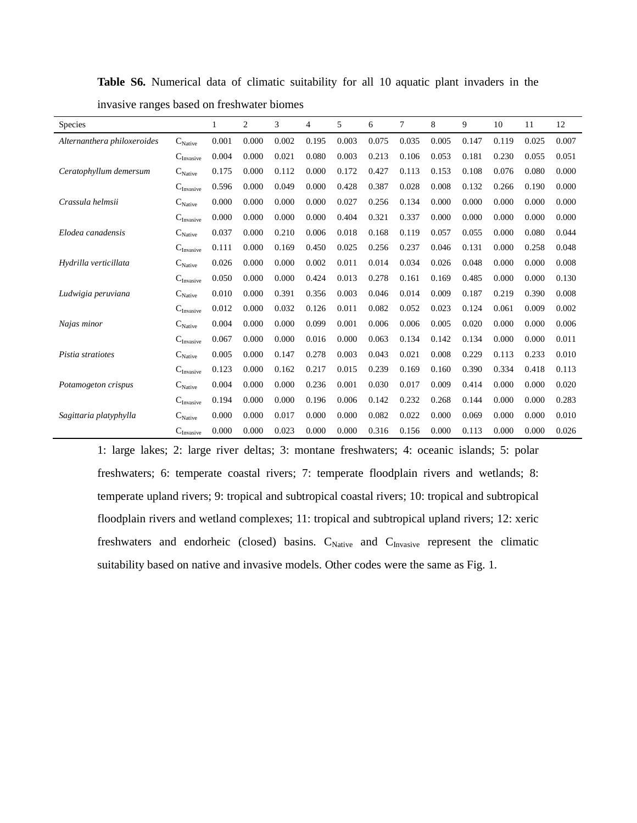| <b>Species</b>              |                              | 1     | $\overline{c}$ | 3     | 4     | 5     | 6     | 7     | 8     | 9     | 10    | 11    | 12    |
|-----------------------------|------------------------------|-------|----------------|-------|-------|-------|-------|-------|-------|-------|-------|-------|-------|
| Alternanthera philoxeroides | $C_{\text{Native}}$          | 0.001 | 0.000          | 0.002 | 0.195 | 0.003 | 0.075 | 0.035 | 0.005 | 0.147 | 0.119 | 0.025 | 0.007 |
|                             | $C_{\text{Invasive}}$        | 0.004 | 0.000          | 0.021 | 0.080 | 0.003 | 0.213 | 0.106 | 0.053 | 0.181 | 0.230 | 0.055 | 0.051 |
| Ceratophyllum demersum      | $C_{\text{Native}}$          | 0.175 | 0.000          | 0.112 | 0.000 | 0.172 | 0.427 | 0.113 | 0.153 | 0.108 | 0.076 | 0.080 | 0.000 |
|                             | $C_{\rm Invasive}$           | 0.596 | 0.000          | 0.049 | 0.000 | 0.428 | 0.387 | 0.028 | 0.008 | 0.132 | 0.266 | 0.190 | 0.000 |
| Crassula helmsii            | $C_{\text{Native}}$          | 0.000 | 0.000          | 0.000 | 0.000 | 0.027 | 0.256 | 0.134 | 0.000 | 0.000 | 0.000 | 0.000 | 0.000 |
|                             | $C_{\text{Invasive}}$        | 0.000 | 0.000          | 0.000 | 0.000 | 0.404 | 0.321 | 0.337 | 0.000 | 0.000 | 0.000 | 0.000 | 0.000 |
| Elodea canadensis           | $C_{\text{Native}}$          | 0.037 | 0.000          | 0.210 | 0.006 | 0.018 | 0.168 | 0.119 | 0.057 | 0.055 | 0.000 | 0.080 | 0.044 |
|                             | $C_{\rm Invasive}$           | 0.111 | 0.000          | 0.169 | 0.450 | 0.025 | 0.256 | 0.237 | 0.046 | 0.131 | 0.000 | 0.258 | 0.048 |
| Hydrilla verticillata       | $C_{\text{Native}}$          | 0.026 | 0.000          | 0.000 | 0.002 | 0.011 | 0.014 | 0.034 | 0.026 | 0.048 | 0.000 | 0.000 | 0.008 |
|                             | $C_{\text{Invasive}}$        | 0.050 | 0.000          | 0.000 | 0.424 | 0.013 | 0.278 | 0.161 | 0.169 | 0.485 | 0.000 | 0.000 | 0.130 |
| Ludwigia peruviana          | $C_{\text{Native}}$          | 0.010 | 0.000          | 0.391 | 0.356 | 0.003 | 0.046 | 0.014 | 0.009 | 0.187 | 0.219 | 0.390 | 0.008 |
|                             | $C_{\rm Invasive}$           | 0.012 | 0.000          | 0.032 | 0.126 | 0.011 | 0.082 | 0.052 | 0.023 | 0.124 | 0.061 | 0.009 | 0.002 |
| Najas minor                 | $C_{\text{Native}}$          | 0.004 | 0.000          | 0.000 | 0.099 | 0.001 | 0.006 | 0.006 | 0.005 | 0.020 | 0.000 | 0.000 | 0.006 |
|                             | $C_{\rm Invasive}$           | 0.067 | 0.000          | 0.000 | 0.016 | 0.000 | 0.063 | 0.134 | 0.142 | 0.134 | 0.000 | 0.000 | 0.011 |
| Pistia stratiotes           | $C_{\text{Native}}$          | 0.005 | 0.000          | 0.147 | 0.278 | 0.003 | 0.043 | 0.021 | 0.008 | 0.229 | 0.113 | 0.233 | 0.010 |
|                             | $C_{\rm Invasive}$           | 0.123 | 0.000          | 0.162 | 0.217 | 0.015 | 0.239 | 0.169 | 0.160 | 0.390 | 0.334 | 0.418 | 0.113 |
| Potamogeton crispus         | $\mathbf{C}_{\text{Native}}$ | 0.004 | 0.000          | 0.000 | 0.236 | 0.001 | 0.030 | 0.017 | 0.009 | 0.414 | 0.000 | 0.000 | 0.020 |
|                             | $C_{\text{Invasive}}$        | 0.194 | 0.000          | 0.000 | 0.196 | 0.006 | 0.142 | 0.232 | 0.268 | 0.144 | 0.000 | 0.000 | 0.283 |
| Sagittaria platyphylla      | $C_{\text{Native}}$          | 0.000 | 0.000          | 0.017 | 0.000 | 0.000 | 0.082 | 0.022 | 0.000 | 0.069 | 0.000 | 0.000 | 0.010 |
|                             | $C_{\text{Invasive}}$        | 0.000 | 0.000          | 0.023 | 0.000 | 0.000 | 0.316 | 0.156 | 0.000 | 0.113 | 0.000 | 0.000 | 0.026 |

**Table S6.** Numerical data of climatic suitability for all 10 aquatic plant invaders in the invasive ranges based on freshwater biomes

1: large lakes; 2: large river deltas; 3: montane freshwaters; 4: oceanic islands; 5: polar freshwaters; 6: temperate coastal rivers; 7: temperate floodplain rivers and wetlands; 8: temperate upland rivers; 9: tropical and subtropical coastal rivers; 10: tropical and subtropical floodplain rivers and wetland complexes; 11: tropical and subtropical upland rivers; 12: xeric freshwaters and endorheic (closed) basins. C<sub>Native</sub> and C<sub>Invasive</sub> represent the climatic suitability based on native and invasive models. Other codes were the same as Fig. 1.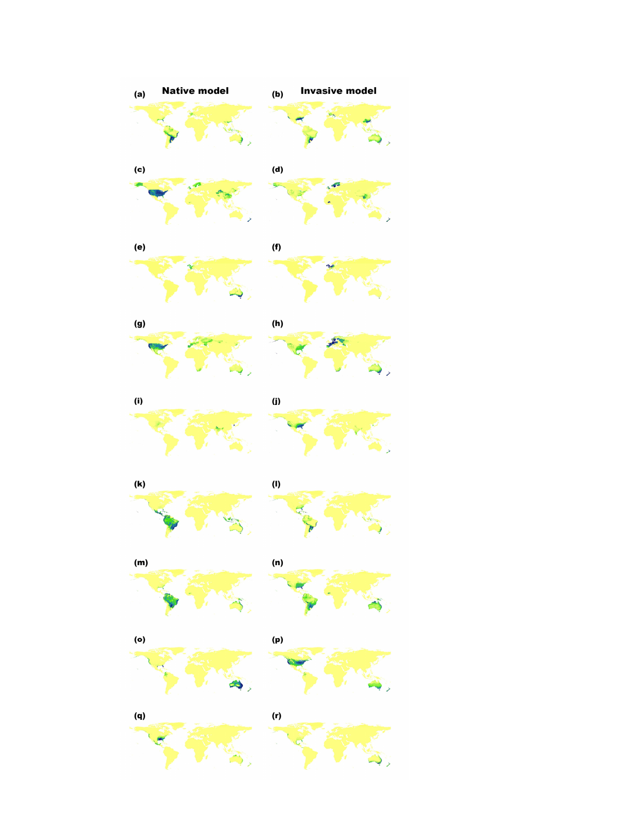